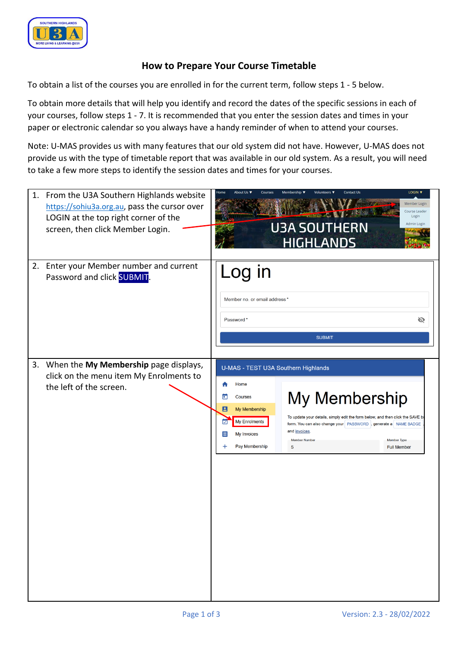

## **How to Prepare Your Course Timetable**

To obtain a list of the courses you are enrolled in for the current term, follow steps 1 - 5 below.

To obtain more details that will help you identify and record the dates of the specific sessions in each of your courses, follow steps 1 - 7. It is recommended that you enter the session dates and times in your paper or electronic calendar so you always have a handy reminder of when to attend your courses.

Note: U-MAS provides us with many features that our old system did not have. However, U-MAS does not provide us with the type of timetable report that was available in our old system. As a result, you will need to take a few more steps to identify the session dates and times for your courses.

| 1. | From the U3A Southern Highlands website<br>https://sohiu3a.org.au, pass the cursor over<br>LOGIN at the top right corner of the<br>screen, then click Member Login. | LOGIN V<br>Membership ▼<br><b>Contact Us</b><br>About Us<br>Volunteers<br>⊣ome<br>Courses<br>Member Login<br>Course Leader<br>Login<br><b>U3A SOUTHERN</b><br>Admin Login<br><b>HIGHLANDS</b> |                                                                                                                                                                                                                                                                  |  |  |  |  |
|----|---------------------------------------------------------------------------------------------------------------------------------------------------------------------|-----------------------------------------------------------------------------------------------------------------------------------------------------------------------------------------------|------------------------------------------------------------------------------------------------------------------------------------------------------------------------------------------------------------------------------------------------------------------|--|--|--|--|
|    | 2. Enter your Member number and current<br>Password and click SUBMIT.                                                                                               | Log in<br>Member no. or email address *<br>Password*                                                                                                                                          | Ø<br><b>SUBMIT</b>                                                                                                                                                                                                                                               |  |  |  |  |
|    | 3. When the My Membership page displays,<br>click on the menu item My Enrolments to<br>the left of the screen.                                                      | U-MAS - TEST U3A Southern Highlands<br>Home<br>Courses<br>В<br>My Membership<br>My Enrolments<br><b>My Invoices</b><br>Ε<br>Pay Membership                                                    | My Membership<br>To update your details, simply edit the form below, and then click the SAVE be<br>form. You can also change your   PASSWORD  , generate a   NAME BADGE<br>and invoices<br><b>Member Number</b><br><b>Member Type</b><br>5<br><b>Full Member</b> |  |  |  |  |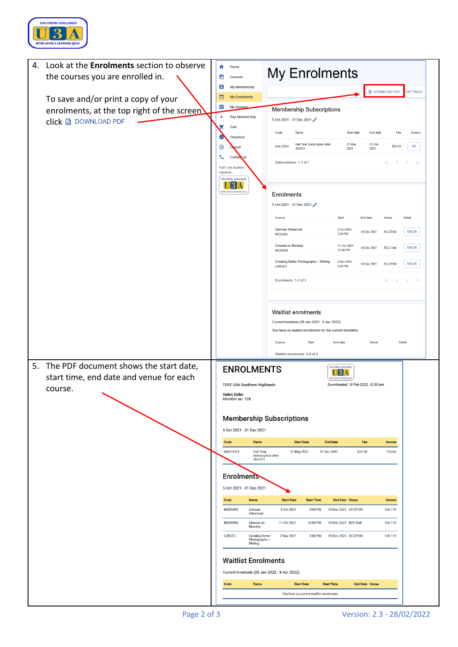